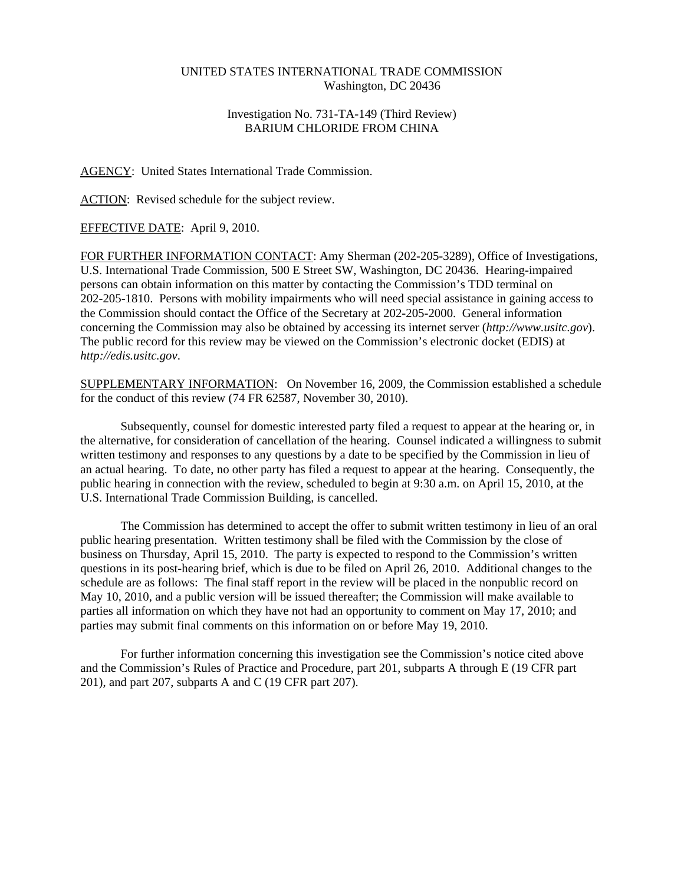## UNITED STATES INTERNATIONAL TRADE COMMISSION Washington, DC 20436

## Investigation No. 731-TA-149 (Third Review) BARIUM CHLORIDE FROM CHINA

## AGENCY: United States International Trade Commission.

ACTION: Revised schedule for the subject review.

## EFFECTIVE DATE: April 9, 2010.

FOR FURTHER INFORMATION CONTACT: Amy Sherman (202-205-3289), Office of Investigations, U.S. International Trade Commission, 500 E Street SW, Washington, DC 20436. Hearing-impaired persons can obtain information on this matter by contacting the Commission's TDD terminal on 202-205-1810. Persons with mobility impairments who will need special assistance in gaining access to the Commission should contact the Office of the Secretary at 202-205-2000. General information concerning the Commission may also be obtained by accessing its internet server (*http://www.usitc.gov*). The public record for this review may be viewed on the Commission's electronic docket (EDIS) at *http://edis.usitc.gov*.

SUPPLEMENTARY INFORMATION: On November 16, 2009, the Commission established a schedule for the conduct of this review (74 FR 62587, November 30, 2010).

Subsequently, counsel for domestic interested party filed a request to appear at the hearing or, in the alternative, for consideration of cancellation of the hearing. Counsel indicated a willingness to submit written testimony and responses to any questions by a date to be specified by the Commission in lieu of an actual hearing. To date, no other party has filed a request to appear at the hearing. Consequently, the public hearing in connection with the review, scheduled to begin at 9:30 a.m. on April 15, 2010, at the U.S. International Trade Commission Building, is cancelled.

The Commission has determined to accept the offer to submit written testimony in lieu of an oral public hearing presentation. Written testimony shall be filed with the Commission by the close of business on Thursday, April 15, 2010. The party is expected to respond to the Commission's written questions in its post-hearing brief, which is due to be filed on April 26, 2010. Additional changes to the schedule are as follows: The final staff report in the review will be placed in the nonpublic record on May 10, 2010, and a public version will be issued thereafter; the Commission will make available to parties all information on which they have not had an opportunity to comment on May 17, 2010; and parties may submit final comments on this information on or before May 19, 2010.

For further information concerning this investigation see the Commission's notice cited above and the Commission's Rules of Practice and Procedure, part 201, subparts A through E (19 CFR part 201), and part 207, subparts A and C (19 CFR part 207).